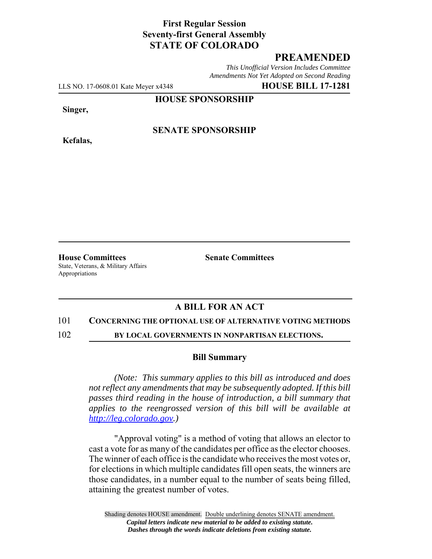# **First Regular Session Seventy-first General Assembly STATE OF COLORADO**

# **PREAMENDED**

*This Unofficial Version Includes Committee Amendments Not Yet Adopted on Second Reading*

LLS NO. 17-0608.01 Kate Meyer x4348 **HOUSE BILL 17-1281**

**HOUSE SPONSORSHIP**

**Singer,**

**Kefalas,**

### **SENATE SPONSORSHIP**

**House Committees Senate Committees** State, Veterans, & Military Affairs Appropriations

# **A BILL FOR AN ACT**

#### 101 **CONCERNING THE OPTIONAL USE OF ALTERNATIVE VOTING METHODS**

102 **BY LOCAL GOVERNMENTS IN NONPARTISAN ELECTIONS.**

#### **Bill Summary**

*(Note: This summary applies to this bill as introduced and does not reflect any amendments that may be subsequently adopted. If this bill passes third reading in the house of introduction, a bill summary that applies to the reengrossed version of this bill will be available at http://leg.colorado.gov.)*

"Approval voting" is a method of voting that allows an elector to cast a vote for as many of the candidates per office as the elector chooses. The winner of each office is the candidate who receives the most votes or, for elections in which multiple candidates fill open seats, the winners are those candidates, in a number equal to the number of seats being filled, attaining the greatest number of votes.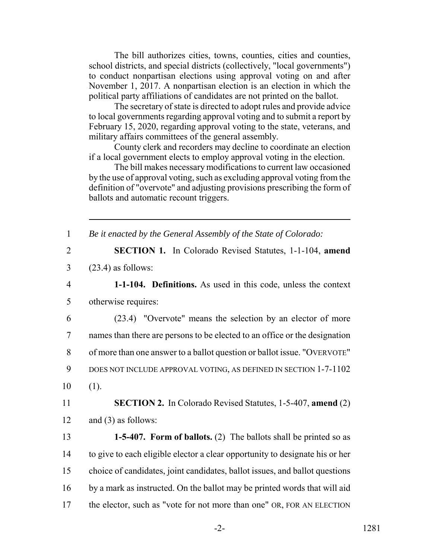The bill authorizes cities, towns, counties, cities and counties, school districts, and special districts (collectively, "local governments") to conduct nonpartisan elections using approval voting on and after November 1, 2017. A nonpartisan election is an election in which the political party affiliations of candidates are not printed on the ballot.

The secretary of state is directed to adopt rules and provide advice to local governments regarding approval voting and to submit a report by February 15, 2020, regarding approval voting to the state, veterans, and military affairs committees of the general assembly.

County clerk and recorders may decline to coordinate an election if a local government elects to employ approval voting in the election.

The bill makes necessary modifications to current law occasioned by the use of approval voting, such as excluding approval voting from the definition of "overvote" and adjusting provisions prescribing the form of ballots and automatic recount triggers.

1 *Be it enacted by the General Assembly of the State of Colorado:*

- 2 **SECTION 1.** In Colorado Revised Statutes, 1-1-104, **amend** 3 (23.4) as follows:
- 4 **1-1-104. Definitions.** As used in this code, unless the context 5 otherwise requires:

 (23.4) "Overvote" means the selection by an elector of more names than there are persons to be elected to an office or the designation of more than one answer to a ballot question or ballot issue. "OVERVOTE" DOES NOT INCLUDE APPROVAL VOTING, AS DEFINED IN SECTION 1-7-1102  $10 \t(1)$ .

11 **SECTION 2.** In Colorado Revised Statutes, 1-5-407, **amend** (2) 12 and (3) as follows:

 **1-5-407. Form of ballots.** (2) The ballots shall be printed so as to give to each eligible elector a clear opportunity to designate his or her choice of candidates, joint candidates, ballot issues, and ballot questions by a mark as instructed. On the ballot may be printed words that will aid 17 the elector, such as "vote for not more than one" OR, FOR AN ELECTION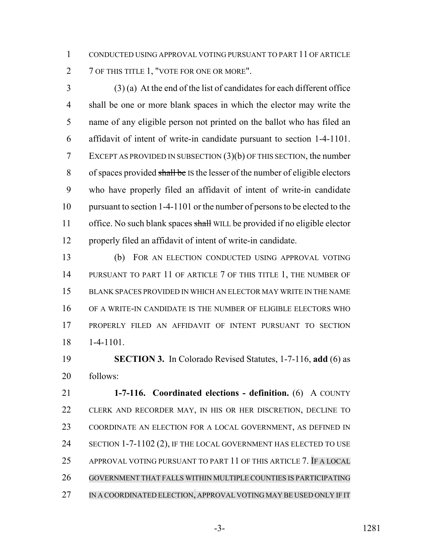CONDUCTED USING APPROVAL VOTING PURSUANT TO PART 11 OF ARTICLE 2 7 OF THIS TITLE 1, "VOTE FOR ONE OR MORE".

 (3) (a) At the end of the list of candidates for each different office shall be one or more blank spaces in which the elector may write the name of any eligible person not printed on the ballot who has filed an affidavit of intent of write-in candidate pursuant to section 1-4-1101. EXCEPT AS PROVIDED IN SUBSECTION (3)(b) OF THIS SECTION, the number of spaces provided shall be IS the lesser of the number of eligible electors who have properly filed an affidavit of intent of write-in candidate pursuant to section 1-4-1101 or the number of persons to be elected to the 11 office. No such blank spaces shall WILL be provided if no eligible elector properly filed an affidavit of intent of write-in candidate.

 (b) FOR AN ELECTION CONDUCTED USING APPROVAL VOTING 14 PURSUANT TO PART 11 OF ARTICLE 7 OF THIS TITLE 1, THE NUMBER OF BLANK SPACES PROVIDED IN WHICH AN ELECTOR MAY WRITE IN THE NAME OF A WRITE-IN CANDIDATE IS THE NUMBER OF ELIGIBLE ELECTORS WHO PROPERLY FILED AN AFFIDAVIT OF INTENT PURSUANT TO SECTION 1-4-1101.

 **SECTION 3.** In Colorado Revised Statutes, 1-7-116, **add** (6) as follows:

 **1-7-116. Coordinated elections - definition.** (6) A COUNTY CLERK AND RECORDER MAY, IN HIS OR HER DISCRETION, DECLINE TO COORDINATE AN ELECTION FOR A LOCAL GOVERNMENT, AS DEFINED IN 24 SECTION 1-7-1102 (2), IF THE LOCAL GOVERNMENT HAS ELECTED TO USE APPROVAL VOTING PURSUANT TO PART 11 OF THIS ARTICLE 7. IF A LOCAL GOVERNMENT THAT FALLS WITHIN MULTIPLE COUNTIES IS PARTICIPATING IN A COORDINATED ELECTION, APPROVAL VOTING MAY BE USED ONLY IF IT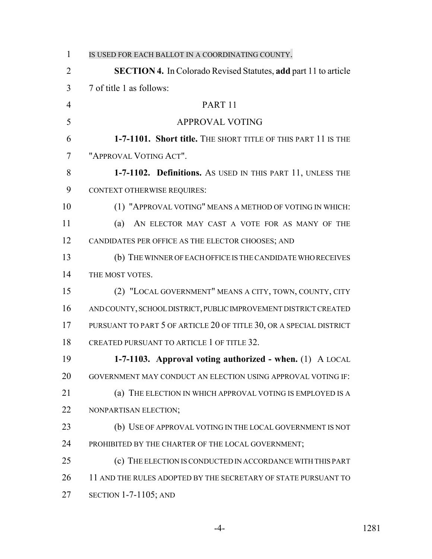| $\mathbf{1}$   | IS USED FOR EACH BALLOT IN A COORDINATING COUNTY.                      |
|----------------|------------------------------------------------------------------------|
| $\overline{2}$ | <b>SECTION 4.</b> In Colorado Revised Statutes, add part 11 to article |
| 3              | 7 of title 1 as follows:                                               |
| $\overline{4}$ | PART <sub>11</sub>                                                     |
| 5              | <b>APPROVAL VOTING</b>                                                 |
| 6              | 1-7-1101. Short title. THE SHORT TITLE OF THIS PART 11 IS THE          |
| $\tau$         | "APPROVAL VOTING ACT".                                                 |
| 8              | 1-7-1102. Definitions. As USED IN THIS PART 11, UNLESS THE             |
| 9              | <b>CONTEXT OTHERWISE REQUIRES:</b>                                     |
| 10             | (1) "APPROVAL VOTING" MEANS A METHOD OF VOTING IN WHICH:               |
| 11             | AN ELECTOR MAY CAST A VOTE FOR AS MANY OF THE<br>(a)                   |
| 12             | CANDIDATES PER OFFICE AS THE ELECTOR CHOOSES; AND                      |
| 13             | (b) THE WINNER OF EACH OFFICE IS THE CANDIDATE WHO RECEIVES            |
| 14             | THE MOST VOTES.                                                        |
| 15             | (2) "LOCAL GOVERNMENT" MEANS A CITY, TOWN, COUNTY, CITY                |
| 16             | AND COUNTY, SCHOOL DISTRICT, PUBLIC IMPROVEMENT DISTRICT CREATED       |
| 17             | PURSUANT TO PART 5 OF ARTICLE 20 OF TITLE 30, OR A SPECIAL DISTRICT    |
| 18             | CREATED PURSUANT TO ARTICLE 1 OF TITLE 32.                             |
| 19             | 1-7-1103. Approval voting authorized - when. (1) A LOCAL               |
| 20             | GOVERNMENT MAY CONDUCT AN ELECTION USING APPROVAL VOTING IF:           |
| 21             | THE ELECTION IN WHICH APPROVAL VOTING IS EMPLOYED IS A<br>(a)          |
| 22             | NONPARTISAN ELECTION;                                                  |
| 23             | (b) USE OF APPROVAL VOTING IN THE LOCAL GOVERNMENT IS NOT              |
| 24             | PROHIBITED BY THE CHARTER OF THE LOCAL GOVERNMENT;                     |
| 25             | THE ELECTION IS CONDUCTED IN ACCORDANCE WITH THIS PART<br>(c)          |
| 26             | 11 AND THE RULES ADOPTED BY THE SECRETARY OF STATE PURSUANT TO         |
| 27             | SECTION $1-7-1105$ ; AND                                               |

-4- 1281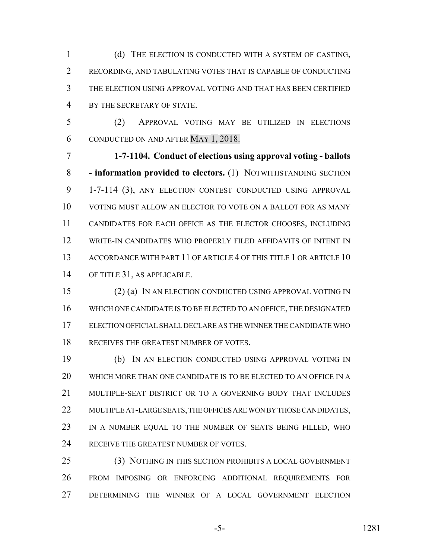(d) THE ELECTION IS CONDUCTED WITH A SYSTEM OF CASTING, RECORDING, AND TABULATING VOTES THAT IS CAPABLE OF CONDUCTING THE ELECTION USING APPROVAL VOTING AND THAT HAS BEEN CERTIFIED BY THE SECRETARY OF STATE.

 (2) APPROVAL VOTING MAY BE UTILIZED IN ELECTIONS CONDUCTED ON AND AFTER MAY 1, 2018.

 **1-7-1104. Conduct of elections using approval voting - ballots - information provided to electors.** (1) NOTWITHSTANDING SECTION 1-7-114 (3), ANY ELECTION CONTEST CONDUCTED USING APPROVAL VOTING MUST ALLOW AN ELECTOR TO VOTE ON A BALLOT FOR AS MANY CANDIDATES FOR EACH OFFICE AS THE ELECTOR CHOOSES, INCLUDING WRITE-IN CANDIDATES WHO PROPERLY FILED AFFIDAVITS OF INTENT IN 13 ACCORDANCE WITH PART 11 OF ARTICLE 4 OF THIS TITLE 1 OR ARTICLE 10 OF TITLE 31, AS APPLICABLE.

 (2) (a) IN AN ELECTION CONDUCTED USING APPROVAL VOTING IN WHICH ONE CANDIDATE IS TO BE ELECTED TO AN OFFICE, THE DESIGNATED ELECTION OFFICIAL SHALL DECLARE AS THE WINNER THE CANDIDATE WHO 18 RECEIVES THE GREATEST NUMBER OF VOTES.

 (b) IN AN ELECTION CONDUCTED USING APPROVAL VOTING IN WHICH MORE THAN ONE CANDIDATE IS TO BE ELECTED TO AN OFFICE IN A 21 MULTIPLE-SEAT DISTRICT OR TO A GOVERNING BODY THAT INCLUDES 22 MULTIPLE AT-LARGE SEATS, THE OFFICES ARE WON BY THOSE CANDIDATES, IN A NUMBER EQUAL TO THE NUMBER OF SEATS BEING FILLED, WHO 24 RECEIVE THE GREATEST NUMBER OF VOTES.

 (3) NOTHING IN THIS SECTION PROHIBITS A LOCAL GOVERNMENT FROM IMPOSING OR ENFORCING ADDITIONAL REQUIREMENTS FOR DETERMINING THE WINNER OF A LOCAL GOVERNMENT ELECTION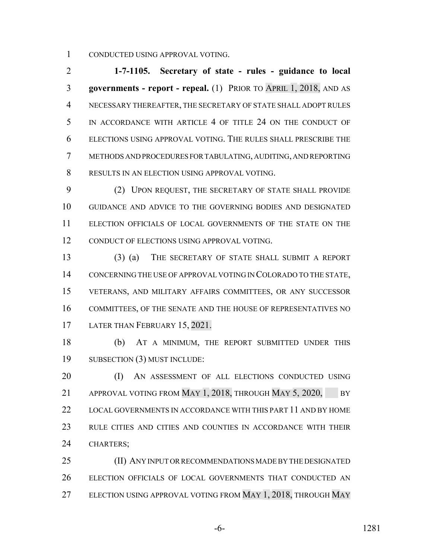CONDUCTED USING APPROVAL VOTING.

 **1-7-1105. Secretary of state - rules - guidance to local governments - report - repeal.** (1) PRIOR TO APRIL 1, 2018, AND AS NECESSARY THEREAFTER, THE SECRETARY OF STATE SHALL ADOPT RULES 5 IN ACCORDANCE WITH ARTICLE 4 OF TITLE 24 ON THE CONDUCT OF ELECTIONS USING APPROVAL VOTING. THE RULES SHALL PRESCRIBE THE METHODS AND PROCEDURES FOR TABULATING, AUDITING, AND REPORTING RESULTS IN AN ELECTION USING APPROVAL VOTING.

 (2) UPON REQUEST, THE SECRETARY OF STATE SHALL PROVIDE GUIDANCE AND ADVICE TO THE GOVERNING BODIES AND DESIGNATED ELECTION OFFICIALS OF LOCAL GOVERNMENTS OF THE STATE ON THE CONDUCT OF ELECTIONS USING APPROVAL VOTING.

 (3) (a) THE SECRETARY OF STATE SHALL SUBMIT A REPORT CONCERNING THE USE OF APPROVAL VOTING IN COLORADO TO THE STATE, VETERANS, AND MILITARY AFFAIRS COMMITTEES, OR ANY SUCCESSOR COMMITTEES, OF THE SENATE AND THE HOUSE OF REPRESENTATIVES NO 17 LATER THAN FEBRUARY 15, 2021.

 (b) AT A MINIMUM, THE REPORT SUBMITTED UNDER THIS SUBSECTION (3) MUST INCLUDE:

 (I) AN ASSESSMENT OF ALL ELECTIONS CONDUCTED USING 21 APPROVAL VOTING FROM MAY 1, 2018, THROUGH MAY 5, 2020, BY LOCAL GOVERNMENTS IN ACCORDANCE WITH THIS PART 11 AND BY HOME RULE CITIES AND CITIES AND COUNTIES IN ACCORDANCE WITH THEIR CHARTERS;

 (II) ANY INPUT OR RECOMMENDATIONS MADE BY THE DESIGNATED ELECTION OFFICIALS OF LOCAL GOVERNMENTS THAT CONDUCTED AN 27 ELECTION USING APPROVAL VOTING FROM MAY 1, 2018, THROUGH MAY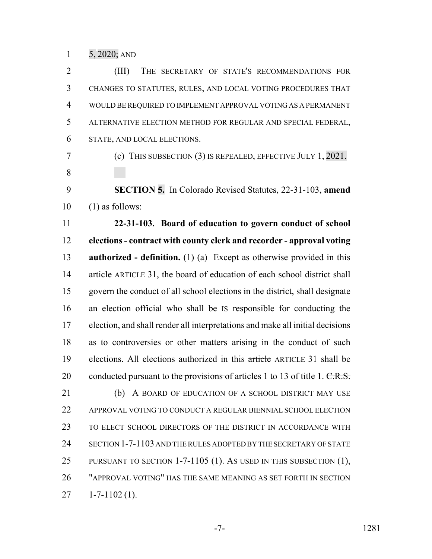5, 2020; AND

 (III) THE SECRETARY OF STATE'S RECOMMENDATIONS FOR CHANGES TO STATUTES, RULES, AND LOCAL VOTING PROCEDURES THAT WOULD BE REQUIRED TO IMPLEMENT APPROVAL VOTING AS A PERMANENT ALTERNATIVE ELECTION METHOD FOR REGULAR AND SPECIAL FEDERAL, STATE, AND LOCAL ELECTIONS.

 (c) THIS SUBSECTION (3) IS REPEALED, EFFECTIVE JULY 1, 2021. 

 **SECTION 5.** In Colorado Revised Statutes, 22-31-103, **amend**  $10 \quad (1)$  as follows:

 **22-31-103. Board of education to govern conduct of school elections - contract with county clerk and recorder - approval voting authorized - definition.** (1) (a) Except as otherwise provided in this 14 article ARTICLE 31, the board of education of each school district shall govern the conduct of all school elections in the district, shall designate 16 an election official who shall be IS responsible for conducting the election, and shall render all interpretations and make all initial decisions as to controversies or other matters arising in the conduct of such elections. All elections authorized in this article ARTICLE 31 shall be 20 conducted pursuant to the provisions of articles 1 to 13 of title 1. C.R.S. 21 (b) A BOARD OF EDUCATION OF A SCHOOL DISTRICT MAY USE APPROVAL VOTING TO CONDUCT A REGULAR BIENNIAL SCHOOL ELECTION TO ELECT SCHOOL DIRECTORS OF THE DISTRICT IN ACCORDANCE WITH SECTION 1-7-1103 AND THE RULES ADOPTED BY THE SECRETARY OF STATE 25 PURSUANT TO SECTION 1-7-1105 (1). AS USED IN THIS SUBSECTION (1), "APPROVAL VOTING" HAS THE SAME MEANING AS SET FORTH IN SECTION

 $27 \quad 1 - 7 - 1102 \tag{1}$ .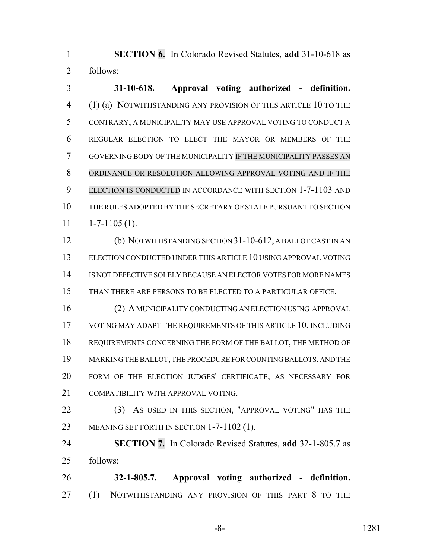**SECTION 6.** In Colorado Revised Statutes, **add** 31-10-618 as follows:

 **31-10-618. Approval voting authorized - definition.** (1) (a) NOTWITHSTANDING ANY PROVISION OF THIS ARTICLE 10 TO THE CONTRARY, A MUNICIPALITY MAY USE APPROVAL VOTING TO CONDUCT A REGULAR ELECTION TO ELECT THE MAYOR OR MEMBERS OF THE GOVERNING BODY OF THE MUNICIPALITY IF THE MUNICIPALITY PASSES AN ORDINANCE OR RESOLUTION ALLOWING APPROVAL VOTING AND IF THE ELECTION IS CONDUCTED IN ACCORDANCE WITH SECTION 1-7-1103 AND THE RULES ADOPTED BY THE SECRETARY OF STATE PURSUANT TO SECTION  $11 \quad 1-7-1105 \,(1).$ 

 (b) NOTWITHSTANDING SECTION 31-10-612, A BALLOT CAST IN AN ELECTION CONDUCTED UNDER THIS ARTICLE 10 USING APPROVAL VOTING IS NOT DEFECTIVE SOLELY BECAUSE AN ELECTOR VOTES FOR MORE NAMES THAN THERE ARE PERSONS TO BE ELECTED TO A PARTICULAR OFFICE.

 (2) A MUNICIPALITY CONDUCTING AN ELECTION USING APPROVAL 17 VOTING MAY ADAPT THE REQUIREMENTS OF THIS ARTICLE 10, INCLUDING REQUIREMENTS CONCERNING THE FORM OF THE BALLOT, THE METHOD OF MARKING THE BALLOT, THE PROCEDURE FOR COUNTING BALLOTS, AND THE FORM OF THE ELECTION JUDGES' CERTIFICATE, AS NECESSARY FOR 21 COMPATIBILITY WITH APPROVAL VOTING.

22 (3) AS USED IN THIS SECTION, "APPROVAL VOTING" HAS THE MEANING SET FORTH IN SECTION 1-7-1102 (1).

 **SECTION 7.** In Colorado Revised Statutes, **add** 32-1-805.7 as follows:

 **32-1-805.7. Approval voting authorized - definition.** (1) NOTWITHSTANDING ANY PROVISION OF THIS PART 8 TO THE